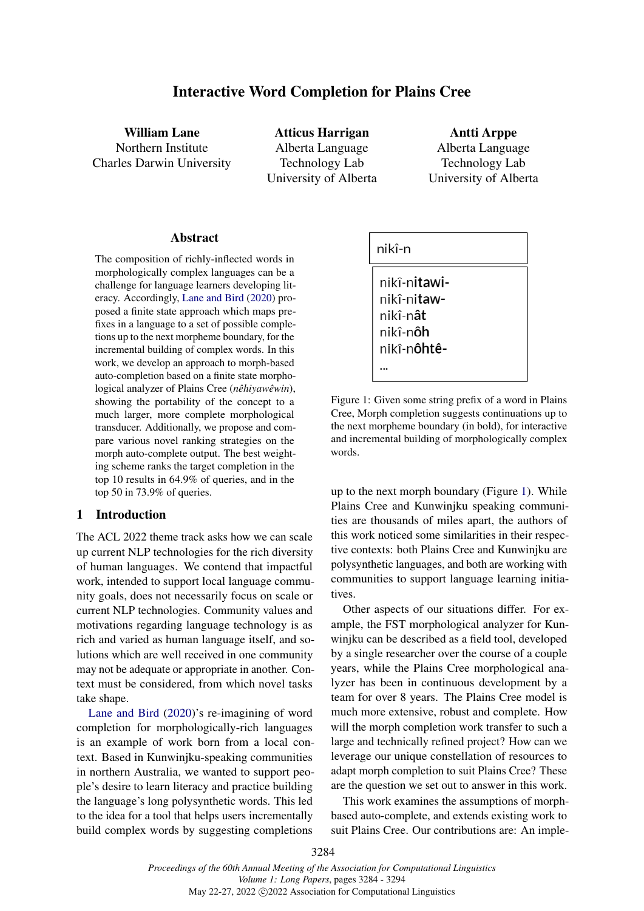# Interactive Word Completion for Plains Cree

William Lane Northern Institute Charles Darwin University

Atticus Harrigan Alberta Language Technology Lab University of Alberta

Antti Arppe Alberta Language Technology Lab University of Alberta

#### Abstract

The composition of richly-inflected words in morphologically complex languages can be a challenge for language learners developing literacy. Accordingly, [Lane and Bird](#page-9-0) [\(2020\)](#page-9-0) proposed a finite state approach which maps prefixes in a language to a set of possible completions up to the next morpheme boundary, for the incremental building of complex words. In this work, we develop an approach to morph-based auto-completion based on a finite state morphological analyzer of Plains Cree (*nêhiyawêwin*), showing the portability of the concept to a much larger, more complete morphological transducer. Additionally, we propose and compare various novel ranking strategies on the morph auto-complete output. The best weighting scheme ranks the target completion in the top 10 results in 64.9% of queries, and in the top 50 in 73.9% of queries.

## 1 Introduction

The ACL 2022 theme track asks how we can scale up current NLP technologies for the rich diversity of human languages. We contend that impactful work, intended to support local language community goals, does not necessarily focus on scale or current NLP technologies. Community values and motivations regarding language technology is as rich and varied as human language itself, and solutions which are well received in one community may not be adequate or appropriate in another. Context must be considered, from which novel tasks take shape.

[Lane and Bird](#page-9-0) [\(2020\)](#page-9-0)'s re-imagining of word completion for morphologically-rich languages is an example of work born from a local context. Based in Kunwinjku-speaking communities in northern Australia, we wanted to support people's desire to learn literacy and practice building the language's long polysynthetic words. This led to the idea for a tool that helps users incrementally build complex words by suggesting completions

<span id="page-0-0"></span>
$$
\begin{array}{|l|}\n\hline\nnik\hat{i}\text{-}n \\
\hline\nnik\hat{i}\text{-}nitawi- \\
nik\hat{i}\text{-}nitaw- \\
nik\hat{i}\text{-}n\hat{a}t \\
nik\hat{i}\text{-}n\hat{o}h \\
nik\hat{i}\text{-}n\hat{o}ht\hat{e} - \\
...\n\end{array}
$$

Figure 1: Given some string prefix of a word in Plains Cree, Morph completion suggests continuations up to the next morpheme boundary (in bold), for interactive and incremental building of morphologically complex words.

up to the next morph boundary (Figure [1\)](#page-0-0). While Plains Cree and Kunwinjku speaking communities are thousands of miles apart, the authors of this work noticed some similarities in their respective contexts: both Plains Cree and Kunwinjku are polysynthetic languages, and both are working with communities to support language learning initiatives.

Other aspects of our situations differ. For example, the FST morphological analyzer for Kunwinjku can be described as a field tool, developed by a single researcher over the course of a couple years, while the Plains Cree morphological analyzer has been in continuous development by a team for over 8 years. The Plains Cree model is much more extensive, robust and complete. How will the morph completion work transfer to such a large and technically refined project? How can we leverage our unique constellation of resources to adapt morph completion to suit Plains Cree? These are the question we set out to answer in this work.

This work examines the assumptions of morphbased auto-complete, and extends existing work to suit Plains Cree. Our contributions are: An imple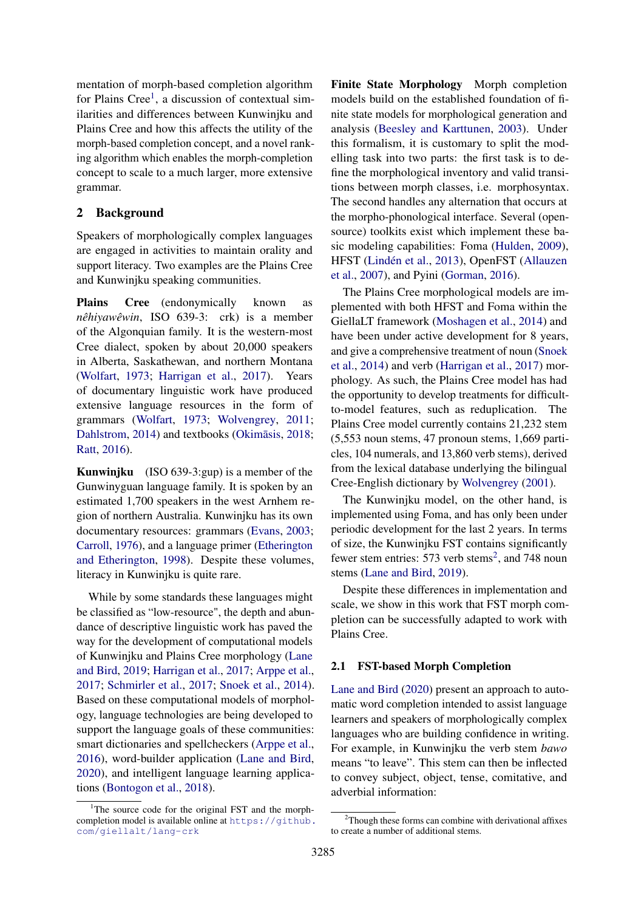mentation of morph-based completion algorithm for Plains Cree<sup>[1](#page-1-0)</sup>, a discussion of contextual similarities and differences between Kunwinjku and Plains Cree and how this affects the utility of the morph-based completion concept, and a novel ranking algorithm which enables the morph-completion concept to scale to a much larger, more extensive grammar.

## 2 Background

Speakers of morphologically complex languages are engaged in activities to maintain orality and support literacy. Two examples are the Plains Cree and Kunwinjku speaking communities.

Plains Cree (endonymically known as *nêhiyawêwin*, ISO 639-3: crk) is a member of the Algonquian family. It is the western-most Cree dialect, spoken by about 20,000 speakers in Alberta, Saskathewan, and northern Montana [\(Wolfart,](#page-10-0) [1973;](#page-10-0) [Harrigan et al.,](#page-9-1) [2017\)](#page-9-1). Years of documentary linguistic work have produced extensive language resources in the form of grammars [\(Wolfart,](#page-10-0) [1973;](#page-10-0) [Wolvengrey,](#page-10-1) [2011;](#page-10-1) [Dahlstrom,](#page-9-2) [2014\)](#page-9-2) and textbooks (Okimāsis, [2018;](#page-10-2) [Ratt,](#page-10-3) [2016\)](#page-10-3).

Kunwinjku (ISO 639-3:gup) is a member of the Gunwinyguan language family. It is spoken by an estimated 1,700 speakers in the west Arnhem region of northern Australia. Kunwinjku has its own documentary resources: grammars [\(Evans,](#page-9-3) [2003;](#page-9-3) [Carroll,](#page-9-4) [1976\)](#page-9-4), and a language primer [\(Etherington](#page-9-5) [and Etherington,](#page-9-5) [1998\)](#page-9-5). Despite these volumes, literacy in Kunwinjku is quite rare.

While by some standards these languages might be classified as "low-resource", the depth and abundance of descriptive linguistic work has paved the way for the development of computational models of Kunwinjku and Plains Cree morphology [\(Lane](#page-9-6) [and Bird,](#page-9-6) [2019;](#page-9-6) [Harrigan et al.,](#page-9-1) [2017;](#page-9-1) [Arppe et al.,](#page-9-7) [2017;](#page-9-7) [Schmirler et al.,](#page-10-4) [2017;](#page-10-4) [Snoek et al.,](#page-10-5) [2014\)](#page-10-5). Based on these computational models of morphology, language technologies are being developed to support the language goals of these communities: smart dictionaries and spellcheckers [\(Arppe et al.,](#page-9-8) [2016\)](#page-9-8), word-builder application [\(Lane and Bird,](#page-9-0) [2020\)](#page-9-0), and intelligent language learning applications [\(Bontogon et al.,](#page-9-9) [2018\)](#page-9-9).

Finite State Morphology Morph completion models build on the established foundation of finite state models for morphological generation and analysis [\(Beesley and Karttunen,](#page-9-10) [2003\)](#page-9-10). Under this formalism, it is customary to split the modelling task into two parts: the first task is to define the morphological inventory and valid transitions between morph classes, i.e. morphosyntax. The second handles any alternation that occurs at the morpho-phonological interface. Several (opensource) toolkits exist which implement these basic modeling capabilities: Foma [\(Hulden,](#page-9-11) [2009\)](#page-9-11), HFST [\(Lindén et al.,](#page-9-12) [2013\)](#page-9-12), OpenFST [\(Allauzen](#page-9-13) [et al.,](#page-9-13) [2007\)](#page-9-13), and Pyini [\(Gorman,](#page-9-14) [2016\)](#page-9-14).

The Plains Cree morphological models are implemented with both HFST and Foma within the GiellaLT framework [\(Moshagen et al.,](#page-10-6) [2014\)](#page-10-6) and have been under active development for 8 years, and give a comprehensive treatment of noun [\(Snoek](#page-10-5) [et al.,](#page-10-5) [2014\)](#page-10-5) and verb [\(Harrigan et al.,](#page-9-1) [2017\)](#page-9-1) morphology. As such, the Plains Cree model has had the opportunity to develop treatments for difficultto-model features, such as reduplication. The Plains Cree model currently contains 21,232 stem (5,553 noun stems, 47 pronoun stems, 1,669 particles, 104 numerals, and 13,860 verb stems), derived from the lexical database underlying the bilingual Cree-English dictionary by [Wolvengrey](#page-10-7) [\(2001\)](#page-10-7).

The Kunwinjku model, on the other hand, is implemented using Foma, and has only been under periodic development for the last 2 years. In terms of size, the Kunwinjku FST contains significantly fewer stem entries: 573 verb stems<sup>[2](#page-1-1)</sup>, and 748 noun stems [\(Lane and Bird,](#page-9-6) [2019\)](#page-9-6).

Despite these differences in implementation and scale, we show in this work that FST morph completion can be successfully adapted to work with Plains Cree.

#### 2.1 FST-based Morph Completion

[Lane and Bird](#page-9-0) [\(2020\)](#page-9-0) present an approach to automatic word completion intended to assist language learners and speakers of morphologically complex languages who are building confidence in writing. For example, in Kunwinjku the verb stem *bawo* means "to leave". This stem can then be inflected to convey subject, object, tense, comitative, and adverbial information:

<span id="page-1-0"></span><sup>&</sup>lt;sup>1</sup>The source code for the original FST and the morphcompletion model is available online at [https://github.](https://github.com/giellalt/lang-crk) [com/giellalt/lang-crk](https://github.com/giellalt/lang-crk)

<span id="page-1-1"></span><sup>&</sup>lt;sup>2</sup>Though these forms can combine with derivational affixes to create a number of additional stems.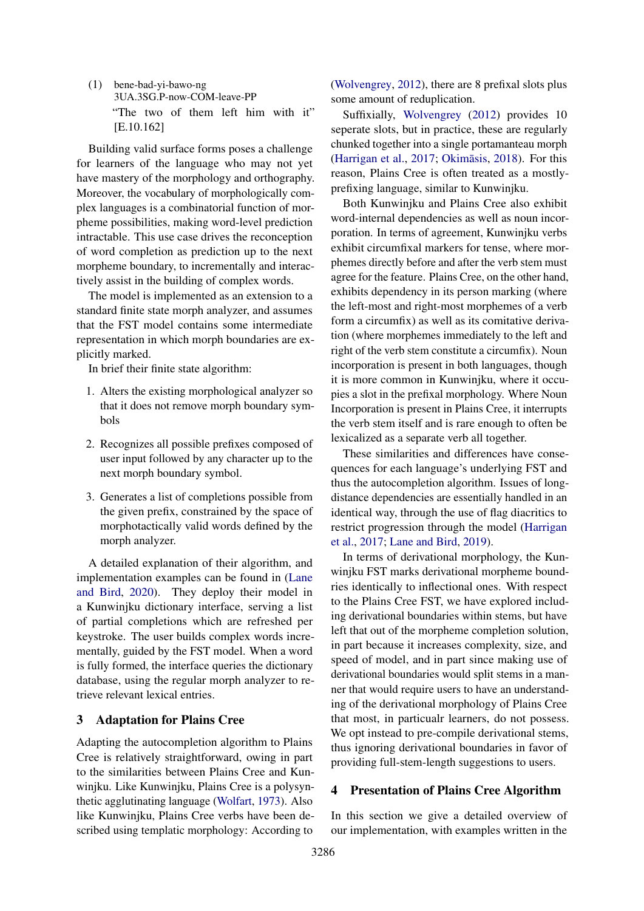(1) bene-bad-yi-bawo-ng 3UA.3SG.P-now-COM-leave-PP "The two of them left him with it" [E.10.162]

Building valid surface forms poses a challenge for learners of the language who may not yet have mastery of the morphology and orthography. Moreover, the vocabulary of morphologically complex languages is a combinatorial function of morpheme possibilities, making word-level prediction intractable. This use case drives the reconception of word completion as prediction up to the next morpheme boundary, to incrementally and interactively assist in the building of complex words.

The model is implemented as an extension to a standard finite state morph analyzer, and assumes that the FST model contains some intermediate representation in which morph boundaries are explicitly marked.

In brief their finite state algorithm:

- 1. Alters the existing morphological analyzer so that it does not remove morph boundary symbols
- 2. Recognizes all possible prefixes composed of user input followed by any character up to the next morph boundary symbol.
- 3. Generates a list of completions possible from the given prefix, constrained by the space of morphotactically valid words defined by the morph analyzer.

A detailed explanation of their algorithm, and implementation examples can be found in [\(Lane](#page-9-0) [and Bird,](#page-9-0) [2020\)](#page-9-0). They deploy their model in a Kunwinjku dictionary interface, serving a list of partial completions which are refreshed per keystroke. The user builds complex words incrementally, guided by the FST model. When a word is fully formed, the interface queries the dictionary database, using the regular morph analyzer to retrieve relevant lexical entries.

# 3 Adaptation for Plains Cree

Adapting the autocompletion algorithm to Plains Cree is relatively straightforward, owing in part to the similarities between Plains Cree and Kunwinjku. Like Kunwinjku, Plains Cree is a polysynthetic agglutinating language [\(Wolfart,](#page-10-0) [1973\)](#page-10-0). Also like Kunwinjku, Plains Cree verbs have been described using templatic morphology: According to

[\(Wolvengrey,](#page-10-8) [2012\)](#page-10-8), there are 8 prefixal slots plus some amount of reduplication.

Suffixially, [Wolvengrey](#page-10-8) [\(2012\)](#page-10-8) provides 10 seperate slots, but in practice, these are regularly chunked together into a single portamanteau morph [\(Harrigan et al.,](#page-9-1) [2017;](#page-9-1) Okimāsis, [2018\)](#page-10-2). For this reason, Plains Cree is often treated as a mostlyprefixing language, similar to Kunwinjku.

Both Kunwinjku and Plains Cree also exhibit word-internal dependencies as well as noun incorporation. In terms of agreement, Kunwinjku verbs exhibit circumfixal markers for tense, where morphemes directly before and after the verb stem must agree for the feature. Plains Cree, on the other hand, exhibits dependency in its person marking (where the left-most and right-most morphemes of a verb form a circumfix) as well as its comitative derivation (where morphemes immediately to the left and right of the verb stem constitute a circumfix). Noun incorporation is present in both languages, though it is more common in Kunwinjku, where it occupies a slot in the prefixal morphology. Where Noun Incorporation is present in Plains Cree, it interrupts the verb stem itself and is rare enough to often be lexicalized as a separate verb all together.

These similarities and differences have consequences for each language's underlying FST and thus the autocompletion algorithm. Issues of longdistance dependencies are essentially handled in an identical way, through the use of flag diacritics to restrict progression through the model [\(Harrigan](#page-9-1) [et al.,](#page-9-1) [2017;](#page-9-1) [Lane and Bird,](#page-9-6) [2019\)](#page-9-6).

In terms of derivational morphology, the Kunwinjku FST marks derivational morpheme boundries identically to inflectional ones. With respect to the Plains Cree FST, we have explored including derivational boundaries within stems, but have left that out of the morpheme completion solution, in part because it increases complexity, size, and speed of model, and in part since making use of derivational boundaries would split stems in a manner that would require users to have an understanding of the derivational morphology of Plains Cree that most, in particualr learners, do not possess. We opt instead to pre-compile derivational stems, thus ignoring derivational boundaries in favor of providing full-stem-length suggestions to users.

# 4 Presentation of Plains Cree Algorithm

In this section we give a detailed overview of our implementation, with examples written in the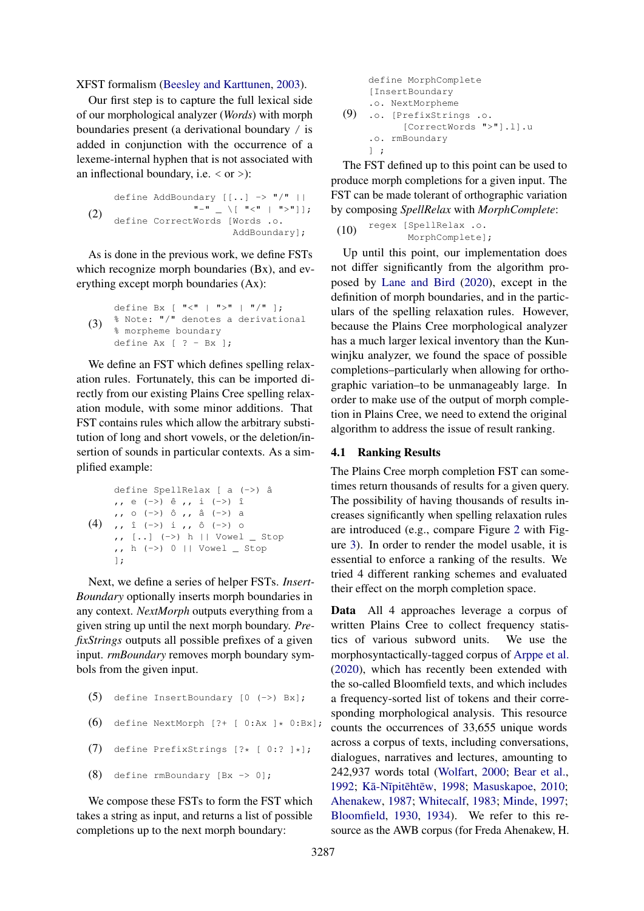#### XFST formalism [\(Beesley and Karttunen,](#page-9-10) [2003\)](#page-9-10).

Our first step is to capture the full lexical side of our morphological analyzer (*Words*) with morph boundaries present (a derivational boundary / is added in conjunction with the occurrence of a lexeme-internal hyphen that is not associated with an inflectional boundary, i.e.  $\langle$  or  $\rangle$ ):

```
(2)
                define AddBoundary [[..] -> "/" ||
                                                                    ^{\mathfrak{m}} - ^{\mathfrak{m}} \qquad \qquad \qquad \qquad \qquad ^{\mathfrak{m}} \qquad ^{\mathfrak{m}} \qquad ^{\mathfrak{m}} \qquad ^{\mathfrak{m}} \qquad ^{\mathfrak{m}} \qquad ^{\mathfrak{m}} \qquad ^{\mathfrak{m}} \qquad ^{\mathfrak{m}} \qquad ^{\mathfrak{m}} \qquad ^{\mathfrak{m}} \qdefine CorrectWords [Words .o.
                                                                                             AddBoundary];
```
As is done in the previous work, we define FSTs which recognize morph boundaries (Bx), and everything except morph boundaries (Ax):

(3) define Bx  $[$  " $\lt$ "  $]$  " $\gt$ "  $]$  " $/$ " ]; % Note: "/" denotes a derivational % morpheme boundary define  $Ax$  [ ? -  $Bx$  ];

We define an FST which defines spelling relaxation rules. Fortunately, this can be imported directly from our existing Plains Cree spelling relaxation module, with some minor additions. That FST contains rules which allow the arbitrary substitution of long and short vowels, or the deletion/insertion of sounds in particular contexts. As a simplified example:

```
(4)
,, î (->) i ,, ô (->) o
    define SpellRelax [ a (->) â
    ,, e (->) ê ,, i (->) î
    ,, o (->) ô ,, â (->) a
    , \, \, [..] (->) h || Vowel _ Stop
    ,, h (->) 0 || Vowel _ Stop
    ];
```
Next, we define a series of helper FSTs. *Insert-Boundary* optionally inserts morph boundaries in any context. *NextMorph* outputs everything from a given string up until the next morph boundary. *PrefixStrings* outputs all possible prefixes of a given input. *rmBoundary* removes morph boundary symbols from the given input.

```
(5) define InsertBoundary [0 (->) Bx];
(6) define NextMorph [?+ [ 0:Ax ]* 0:Bx];(7) define PrefixStrings [?* [ 0:? ]*];
(8) define rmBoundary [ Bx \rightarrow 0 ];
```
We compose these FSTs to form the FST which takes a string as input, and returns a list of possible completions up to the next morph boundary:

```
(9)
    define MorphComplete
    [InsertBoundary
    .o. NextMorpheme
    .o. [PrefixStrings .o.
           [CorrectWords ">"].l].u
     .o. rmBoundary
    ] ;
```
The FST defined up to this point can be used to produce morph completions for a given input. The FST can be made tolerant of orthographic variation by composing *SpellRelax* with *MorphComplete*:

```
(10) regex [SpellRelax .o.
            MorphComplete];
```
Up until this point, our implementation does not differ significantly from the algorithm proposed by [Lane and Bird](#page-9-0) [\(2020\)](#page-9-0), except in the definition of morph boundaries, and in the particulars of the spelling relaxation rules. However, because the Plains Cree morphological analyzer has a much larger lexical inventory than the Kunwinjku analyzer, we found the space of possible completions–particularly when allowing for orthographic variation–to be unmanageably large. In order to make use of the output of morph completion in Plains Cree, we need to extend the original algorithm to address the issue of result ranking.

#### <span id="page-3-0"></span>4.1 Ranking Results

The Plains Cree morph completion FST can sometimes return thousands of results for a given query. The possibility of having thousands of results increases significantly when spelling relaxation rules are introduced (e.g., compare Figure [2](#page-5-0) with Figure [3\)](#page-5-1). In order to render the model usable, it is essential to enforce a ranking of the results. We tried 4 different ranking schemes and evaluated their effect on the morph completion space.

Data All 4 approaches leverage a corpus of written Plains Cree to collect frequency statistics of various subword units. We use the morphosyntactically-tagged corpus of [Arppe et al.](#page-9-15) [\(2020\)](#page-9-15), which has recently been extended with the so-called Bloomfield texts, and which includes a frequency-sorted list of tokens and their corresponding morphological analysis. This resource counts the occurrences of 33,655 unique words across a corpus of texts, including conversations, dialogues, narratives and lectures, amounting to 242,937 words total [\(Wolfart,](#page-10-9) [2000;](#page-10-9) [Bear et al.,](#page-9-16) [1992;](#page-9-16) Kā-Nīpitēhtēw, [1998;](#page-9-17) [Masuskapoe,](#page-10-10) [2010;](#page-10-10) [Ahenakew,](#page-9-18) [1987;](#page-9-18) [Whitecalf,](#page-10-11) [1983;](#page-10-11) [Minde,](#page-10-12) [1997;](#page-10-12) [Bloomfield,](#page-9-19) [1930,](#page-9-19) [1934\)](#page-9-20). We refer to this resource as the AWB corpus (for Freda Ahenakew, H.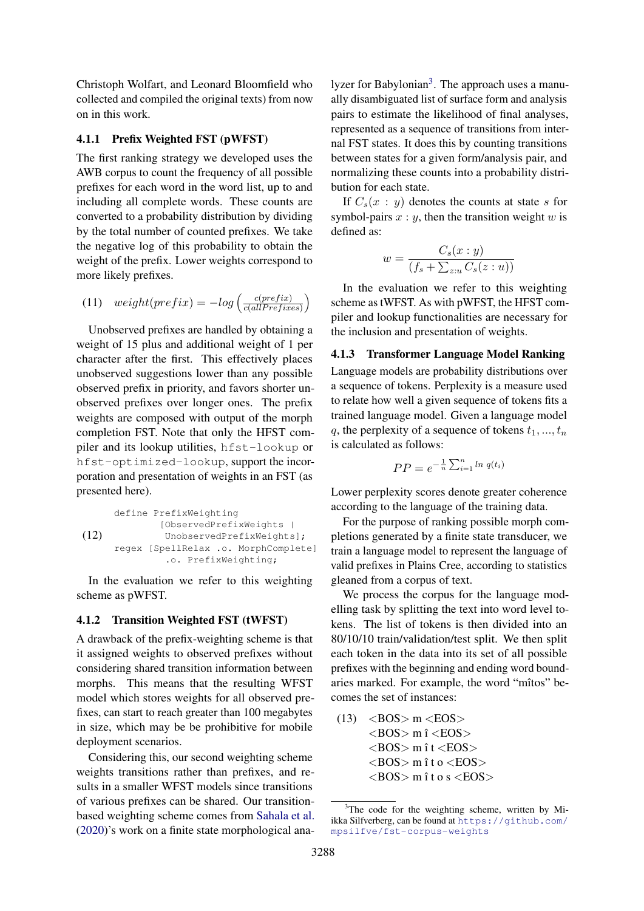Christoph Wolfart, and Leonard Bloomfield who collected and compiled the original texts) from now on in this work.

## 4.1.1 Prefix Weighted FST (pWFST)

The first ranking strategy we developed uses the AWB corpus to count the frequency of all possible prefixes for each word in the word list, up to and including all complete words. These counts are converted to a probability distribution by dividing by the total number of counted prefixes. We take the negative log of this probability to obtain the weight of the prefix. Lower weights correspond to more likely prefixes.

(11) 
$$
weight(prefix) = -log\left(\frac{c(prefix)}{c(alPrefixes)}\right)
$$

Unobserved prefixes are handled by obtaining a weight of 15 plus and additional weight of 1 per character after the first. This effectively places unobserved suggestions lower than any possible observed prefix in priority, and favors shorter unobserved prefixes over longer ones. The prefix weights are composed with output of the morph completion FST. Note that only the HFST compiler and its lookup utilities, hfst-lookup or hfst-optimized-lookup, support the incorporation and presentation of weights in an FST (as presented here).

(12) define PrefixWeighting [ObservedPrefixWeights | UnobservedPrefixWeights]; regex [SpellRelax .o. MorphComplete] .o. PrefixWeighting;

In the evaluation we refer to this weighting scheme as pWFST.

#### 4.1.2 Transition Weighted FST (tWFST)

A drawback of the prefix-weighting scheme is that it assigned weights to observed prefixes without considering shared transition information between morphs. This means that the resulting WFST model which stores weights for all observed prefixes, can start to reach greater than 100 megabytes in size, which may be be prohibitive for mobile deployment scenarios.

Considering this, our second weighting scheme weights transitions rather than prefixes, and results in a smaller WFST models since transitions of various prefixes can be shared. Our transitionbased weighting scheme comes from [Sahala et al.](#page-10-13) [\(2020\)](#page-10-13)'s work on a finite state morphological ana-

lyzer for Babylonian<sup>[3](#page-4-0)</sup>. The approach uses a manually disambiguated list of surface form and analysis pairs to estimate the likelihood of final analyses, represented as a sequence of transitions from internal FST states. It does this by counting transitions between states for a given form/analysis pair, and normalizing these counts into a probability distribution for each state.

If  $C_s(x : y)$  denotes the counts at state s for symbol-pairs  $x : y$ , then the transition weight  $w$  is defined as:

$$
w = \frac{C_s(x:y)}{(f_s + \sum_{z:u} C_s(z:u))}
$$

In the evaluation we refer to this weighting scheme as tWFST. As with pWFST, the HFST compiler and lookup functionalities are necessary for the inclusion and presentation of weights.

4.1.3 Transformer Language Model Ranking Language models are probability distributions over a sequence of tokens. Perplexity is a measure used to relate how well a given sequence of tokens fits a trained language model. Given a language model q, the perplexity of a sequence of tokens  $t_1, ..., t_n$ 

$$
PP = e^{-\frac{1}{n}\sum_{i=1}^{n} \ln q(t_i)}
$$

is calculated as follows:

Lower perplexity scores denote greater coherence according to the language of the training data.

For the purpose of ranking possible morph completions generated by a finite state transducer, we train a language model to represent the language of valid prefixes in Plains Cree, according to statistics gleaned from a corpus of text.

We process the corpus for the language modelling task by splitting the text into word level tokens. The list of tokens is then divided into an 80/10/10 train/validation/test split. We then split each token in the data into its set of all possible prefixes with the beginning and ending word boundaries marked. For example, the word "mîtos" becomes the set of instances:

 $(13)$  <BOS> m <EOS>  $<$ BOS $>$ m î $<$ EOS $>$  $<$ BOS $>$ m î t $<$ EOS $>$  $<$ BOS $>$ m î t o  $<$ EOS $>$  $<\text{BOS}>\text{m}$ ît o s  $<\text{EOS}$ 

<span id="page-4-0"></span><sup>&</sup>lt;sup>3</sup>The code for the weighting scheme, written by Miikka Silfverberg, can be found at [https://github.com/](https://github.com/mpsilfve/fst-corpus-weights) [mpsilfve/fst-corpus-weights](https://github.com/mpsilfve/fst-corpus-weights)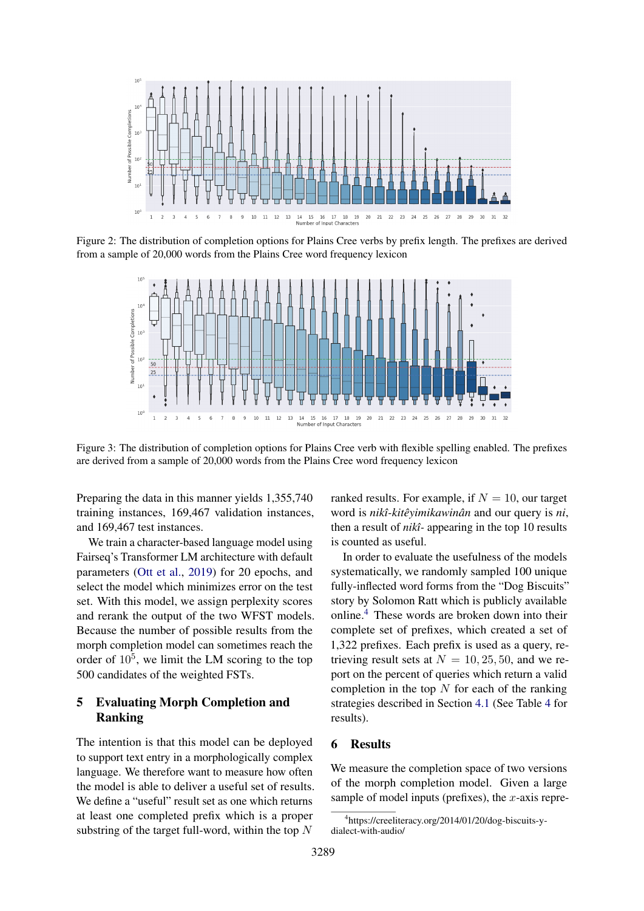<span id="page-5-0"></span>

<span id="page-5-1"></span>Figure 2: The distribution of completion options for Plains Cree verbs by prefix length. The prefixes are derived from a sample of 20,000 words from the Plains Cree word frequency lexicon



Figure 3: The distribution of completion options for Plains Cree verb with flexible spelling enabled. The prefixes are derived from a sample of 20,000 words from the Plains Cree word frequency lexicon

Preparing the data in this manner yields 1,355,740 training instances, 169,467 validation instances, and 169,467 test instances.

We train a character-based language model using Fairseq's Transformer LM architecture with default parameters [\(Ott et al.,](#page-10-14) [2019\)](#page-10-14) for 20 epochs, and select the model which minimizes error on the test set. With this model, we assign perplexity scores and rerank the output of the two WFST models. Because the number of possible results from the morph completion model can sometimes reach the order of  $10^5$ , we limit the LM scoring to the top 500 candidates of the weighted FSTs.

# 5 Evaluating Morph Completion and Ranking

The intention is that this model can be deployed to support text entry in a morphologically complex language. We therefore want to measure how often the model is able to deliver a useful set of results. We define a "useful" result set as one which returns at least one completed prefix which is a proper substring of the target full-word, within the top  $N$ 

ranked results. For example, if  $N = 10$ , our target word is *nikî-kitêyimikawinân* and our query is *ni*, then a result of *nikî-* appearing in the top 10 results is counted as useful.

In order to evaluate the usefulness of the models systematically, we randomly sampled 100 unique fully-inflected word forms from the "Dog Biscuits" story by Solomon Ratt which is publicly available online.[4](#page-5-2) These words are broken down into their complete set of prefixes, which created a set of 1,322 prefixes. Each prefix is used as a query, retrieving result sets at  $N = 10, 25, 50$ , and we report on the percent of queries which return a valid completion in the top  $N$  for each of the ranking strategies described in Section [4.1](#page-3-0) (See Table [4](#page-6-0) for results).

# 6 Results

We measure the completion space of two versions of the morph completion model. Given a large sample of model inputs (prefixes), the  $x$ -axis repre-

<span id="page-5-2"></span><sup>4</sup> https://creeliteracy.org/2014/01/20/dog-biscuits-ydialect-with-audio/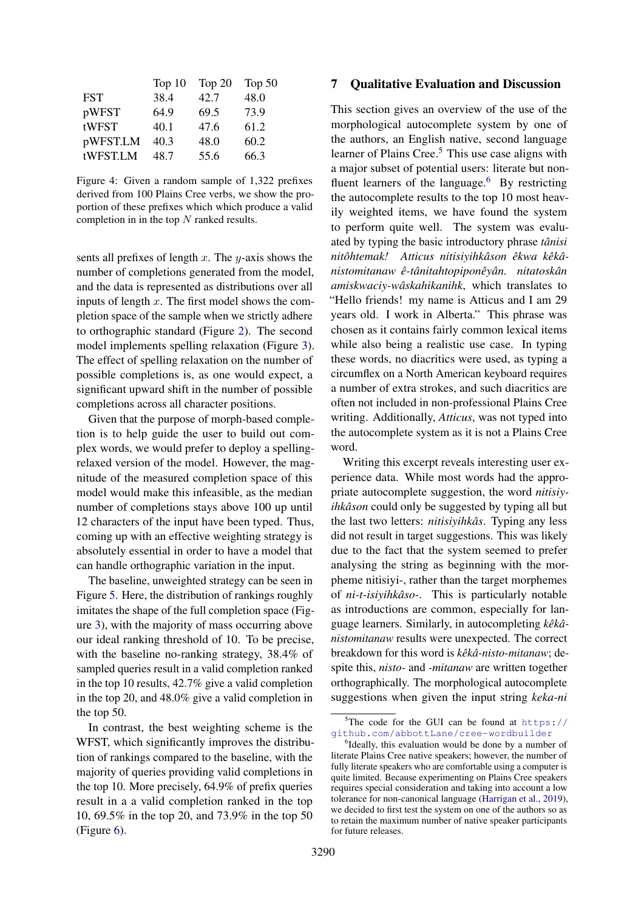<span id="page-6-0"></span>

|            | Top $10$ | Top $20$ | Top $50$ |
|------------|----------|----------|----------|
| <b>FST</b> | 38.4     | 42.7     | 48.0     |
| pWFST      | 64.9     | 69.5     | 73.9     |
| tWFST      | 40.1     | 47.6     | 61.2     |
| pWFST.LM   | 40.3     | 48.0     | 60.2     |
| tWFST.LM   | 48.7     | 55.6     | 66.3     |

Figure 4: Given a random sample of 1,322 prefixes derived from 100 Plains Cree verbs, we show the proportion of these prefixes which which produce a valid completion in in the top  $N$  ranked results.

sents all prefixes of length x. The y-axis shows the number of completions generated from the model, and the data is represented as distributions over all inputs of length  $x$ . The first model shows the completion space of the sample when we strictly adhere to orthographic standard (Figure [2\)](#page-5-0). The second model implements spelling relaxation (Figure [3\)](#page-5-1). The effect of spelling relaxation on the number of possible completions is, as one would expect, a significant upward shift in the number of possible completions across all character positions.

Given that the purpose of morph-based completion is to help guide the user to build out complex words, we would prefer to deploy a spellingrelaxed version of the model. However, the magnitude of the measured completion space of this model would make this infeasible, as the median number of completions stays above 100 up until 12 characters of the input have been typed. Thus, coming up with an effective weighting strategy is absolutely essential in order to have a model that can handle orthographic variation in the input.

The baseline, unweighted strategy can be seen in Figure [5.](#page-7-0) Here, the distribution of rankings roughly imitates the shape of the full completion space (Figure [3\)](#page-5-1), with the majority of mass occurring above our ideal ranking threshold of 10. To be precise, with the baseline no-ranking strategy, 38.4% of sampled queries result in a valid completion ranked in the top 10 results, 42.7% give a valid completion in the top 20, and 48.0% give a valid completion in the top 50.

In contrast, the best weighting scheme is the WFST, which significantly improves the distribution of rankings compared to the baseline, with the majority of queries providing valid completions in the top 10. More precisely, 64.9% of prefix queries result in a a valid completion ranked in the top 10, 69.5% in the top 20, and 73.9% in the top 50 (Figure [6\)](#page-7-1).

## 7 Qualitative Evaluation and Discussion

This section gives an overview of the use of the morphological autocomplete system by one of the authors, an English native, second language learner of Plains Cree.<sup>[5](#page-6-1)</sup> This use case aligns with a major subset of potential users: literate but nonfluent learners of the language. $6\,$  $6\,$  By restricting the autocomplete results to the top 10 most heavily weighted items, we have found the system to perform quite well. The system was evaluated by typing the basic introductory phrase *tânisi nitôhtemak! Atticus nitisiyihkâson êkwa kêkânistomitanaw ê-tânitahtopiponêyân. nitatoskân amiskwaciy-wâskahikanihk*, which translates to "Hello friends! my name is Atticus and I am 29 years old. I work in Alberta." This phrase was chosen as it contains fairly common lexical items while also being a realistic use case. In typing these words, no diacritics were used, as typing a circumflex on a North American keyboard requires a number of extra strokes, and such diacritics are often not included in non-professional Plains Cree writing. Additionally, *Atticus*, was not typed into the autocomplete system as it is not a Plains Cree word.

Writing this excerpt reveals interesting user experience data. While most words had the appropriate autocomplete suggestion, the word *nitisiyihkâson* could only be suggested by typing all but the last two letters: *nitisiyihkâs*. Typing any less did not result in target suggestions. This was likely due to the fact that the system seemed to prefer analysing the string as beginning with the morpheme nitisiyi-, rather than the target morphemes of *ni-t-isiyihkâso-*. This is particularly notable as introductions are common, especially for language learners. Similarly, in autocompleting *kêkânistomitanaw* results were unexpected. The correct breakdown for this word is *kêkâ-nisto-mitanaw*; despite this, *nisto-* and *-mitanaw* are written together orthographically. The morphological autocomplete suggestions when given the input string *keka-ni*

<span id="page-6-1"></span> $5$ The code for the GUI can be found at [https://](https://github.com/abbottLane/cree-wordbuilder) [github.com/abbottLane/cree-wordbuilder](https://github.com/abbottLane/cree-wordbuilder)

<span id="page-6-2"></span><sup>&</sup>lt;sup>6</sup>Ideally, this evaluation would be done by a number of literate Plains Cree native speakers; however, the number of fully literate speakers who are comfortable using a computer is quite limited. Because experimenting on Plains Cree speakers requires special consideration and taking into account a low tolerance for non-canonical language [\(Harrigan et al.,](#page-9-21) [2019\)](#page-9-21), we decided to first test the system on one of the authors so as to retain the maximum number of native speaker participants for future releases.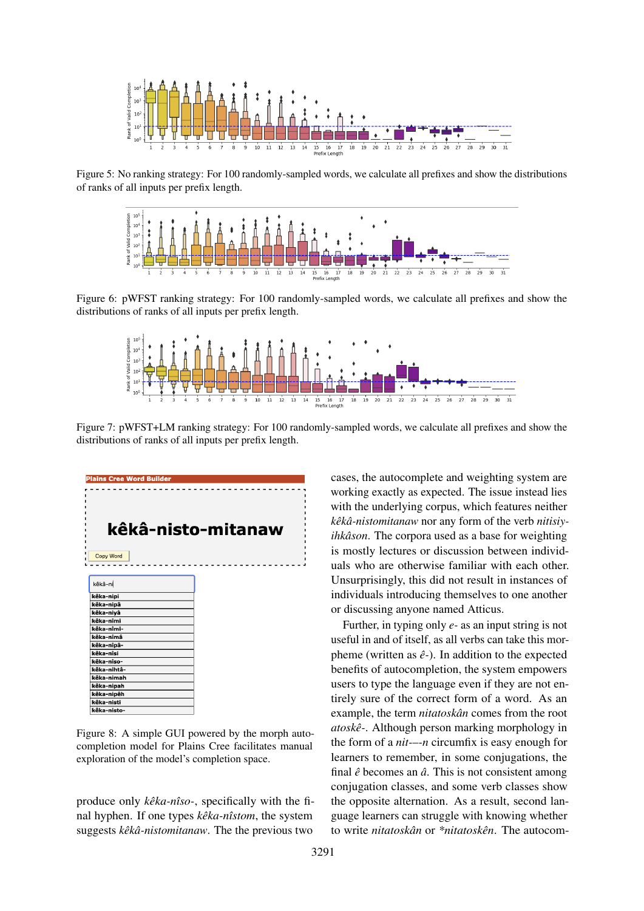<span id="page-7-0"></span>

<span id="page-7-1"></span>Figure 5: No ranking strategy: For 100 randomly-sampled words, we calculate all prefixes and show the distributions of ranks of all inputs per prefix length.



Figure 6: pWFST ranking strategy: For 100 randomly-sampled words, we calculate all prefixes and show the distributions of ranks of all inputs per prefix length.



Figure 7: pWFST+LM ranking strategy: For 100 randomly-sampled words, we calculate all prefixes and show the distributions of ranks of all inputs per prefix length.



Figure 8: A simple GUI powered by the morph autocompletion model for Plains Cree facilitates manual exploration of the model's completion space.

produce only *kêka-nîso-*, specifically with the final hyphen. If one types *kêka-nîstom*, the system suggests *kêkâ-nistomitanaw*. The the previous two

cases, the autocomplete and weighting system are working exactly as expected. The issue instead lies with the underlying corpus, which features neither *kêkâ-nistomitanaw* nor any form of the verb *nitisiyihkâson*. The corpora used as a base for weighting is mostly lectures or discussion between individuals who are otherwise familiar with each other. Unsurprisingly, this did not result in instances of individuals introducing themselves to one another or discussing anyone named Atticus.

Further, in typing only *e-* as an input string is not useful in and of itself, as all verbs can take this morpheme (written as *ê-*). In addition to the expected benefits of autocompletion, the system empowers users to type the language even if they are not entirely sure of the correct form of a word. As an example, the term *nitatoskân* comes from the root *atoskê-*. Although person marking morphology in the form of a *nit-*–*-n* circumfix is easy enough for learners to remember, in some conjugations, the final *ê* becomes an *â*. This is not consistent among conjugation classes, and some verb classes show the opposite alternation. As a result, second language learners can struggle with knowing whether to write *nitatoskân* or *\*nitatoskên*. The autocom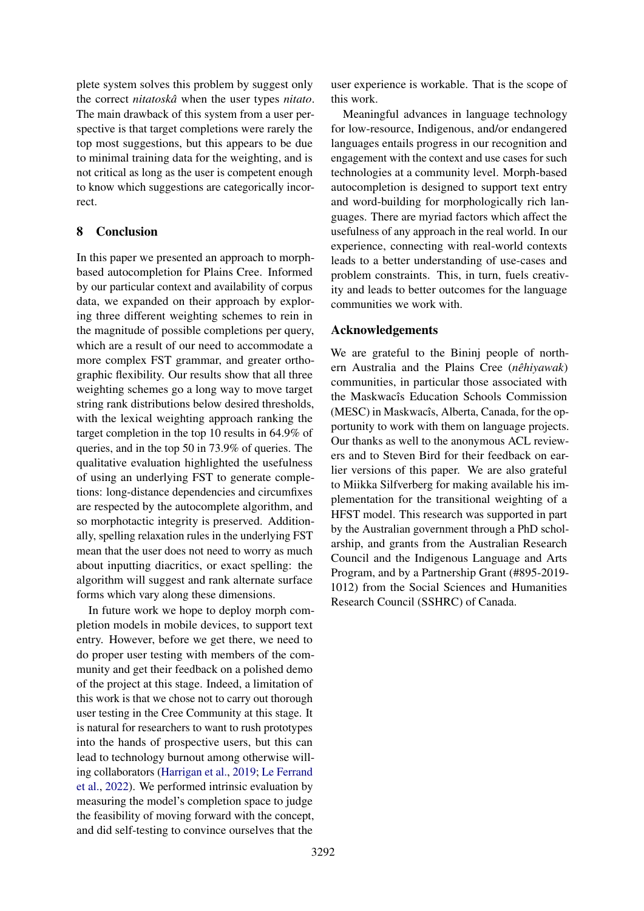plete system solves this problem by suggest only the correct *nitatoskâ* when the user types *nitato*. The main drawback of this system from a user perspective is that target completions were rarely the top most suggestions, but this appears to be due to minimal training data for the weighting, and is not critical as long as the user is competent enough to know which suggestions are categorically incorrect.

# 8 Conclusion

In this paper we presented an approach to morphbased autocompletion for Plains Cree. Informed by our particular context and availability of corpus data, we expanded on their approach by exploring three different weighting schemes to rein in the magnitude of possible completions per query, which are a result of our need to accommodate a more complex FST grammar, and greater orthographic flexibility. Our results show that all three weighting schemes go a long way to move target string rank distributions below desired thresholds, with the lexical weighting approach ranking the target completion in the top 10 results in 64.9% of queries, and in the top 50 in 73.9% of queries. The qualitative evaluation highlighted the usefulness of using an underlying FST to generate completions: long-distance dependencies and circumfixes are respected by the autocomplete algorithm, and so morphotactic integrity is preserved. Additionally, spelling relaxation rules in the underlying FST mean that the user does not need to worry as much about inputting diacritics, or exact spelling: the algorithm will suggest and rank alternate surface forms which vary along these dimensions.

In future work we hope to deploy morph completion models in mobile devices, to support text entry. However, before we get there, we need to do proper user testing with members of the community and get their feedback on a polished demo of the project at this stage. Indeed, a limitation of this work is that we chose not to carry out thorough user testing in the Cree Community at this stage. It is natural for researchers to want to rush prototypes into the hands of prospective users, but this can lead to technology burnout among otherwise willing collaborators [\(Harrigan et al.,](#page-9-21) [2019;](#page-9-21) [Le Ferrand](#page-9-22) [et al.,](#page-9-22) [2022\)](#page-9-22). We performed intrinsic evaluation by measuring the model's completion space to judge the feasibility of moving forward with the concept, and did self-testing to convince ourselves that the

user experience is workable. That is the scope of this work.

Meaningful advances in language technology for low-resource, Indigenous, and/or endangered languages entails progress in our recognition and engagement with the context and use cases for such technologies at a community level. Morph-based autocompletion is designed to support text entry and word-building for morphologically rich languages. There are myriad factors which affect the usefulness of any approach in the real world. In our experience, connecting with real-world contexts leads to a better understanding of use-cases and problem constraints. This, in turn, fuels creativity and leads to better outcomes for the language communities we work with.

# Acknowledgements

We are grateful to the Bininj people of northern Australia and the Plains Cree (*nêhiyawak*) communities, in particular those associated with the Maskwacîs Education Schools Commission (MESC) in Maskwacîs, Alberta, Canada, for the opportunity to work with them on language projects. Our thanks as well to the anonymous ACL reviewers and to Steven Bird for their feedback on earlier versions of this paper. We are also grateful to Miikka Silfverberg for making available his implementation for the transitional weighting of a HFST model. This research was supported in part by the Australian government through a PhD scholarship, and grants from the Australian Research Council and the Indigenous Language and Arts Program, and by a Partnership Grant (#895-2019- 1012) from the Social Sciences and Humanities Research Council (SSHRC) of Canada.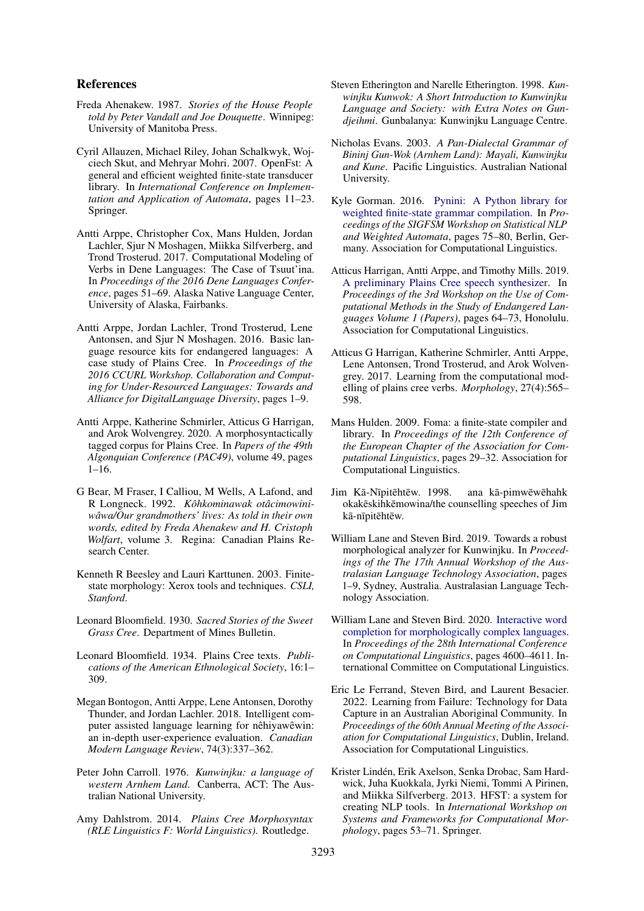### References

- <span id="page-9-18"></span>Freda Ahenakew. 1987. *Stories of the House People told by Peter Vandall and Joe Douquette*. Winnipeg: University of Manitoba Press.
- <span id="page-9-13"></span>Cyril Allauzen, Michael Riley, Johan Schalkwyk, Wojciech Skut, and Mehryar Mohri. 2007. OpenFst: A general and efficient weighted finite-state transducer library. In *International Conference on Implementation and Application of Automata*, pages 11–23. Springer.
- <span id="page-9-7"></span>Antti Arppe, Christopher Cox, Mans Hulden, Jordan Lachler, Sjur N Moshagen, Miikka Silfverberg, and Trond Trosterud. 2017. Computational Modeling of Verbs in Dene Languages: The Case of Tsuut'ina. In *Proceedings of the 2016 Dene Languages Conference*, pages 51–69. Alaska Native Language Center, University of Alaska, Fairbanks.
- <span id="page-9-8"></span>Antti Arppe, Jordan Lachler, Trond Trosterud, Lene Antonsen, and Sjur N Moshagen. 2016. Basic language resource kits for endangered languages: A case study of Plains Cree. In *Proceedings of the 2016 CCURL Workshop. Collaboration and Computing for Under-Resourced Languages: Towards and Alliance for DigitalLanguage Diversity*, pages 1–9.
- <span id="page-9-15"></span>Antti Arppe, Katherine Schmirler, Atticus G Harrigan, and Arok Wolvengrey. 2020. A morphosyntactically tagged corpus for Plains Cree. In *Papers of the 49th Algonquian Conference (PAC49)*, volume 49, pages 1–16.
- <span id="page-9-16"></span>G Bear, M Fraser, I Calliou, M Wells, A Lafond, and R Longneck. 1992. *Kôhkominawak otâcimowiniwâwa/Our grandmothers' lives: As told in their own words, edited by Freda Ahenakew and H. Cristoph Wolfart*, volume 3. Regina: Canadian Plains Research Center.
- <span id="page-9-10"></span>Kenneth R Beesley and Lauri Karttunen. 2003. Finitestate morphology: Xerox tools and techniques. *CSLI, Stanford*.
- <span id="page-9-19"></span>Leonard Bloomfield. 1930. *Sacred Stories of the Sweet Grass Cree*. Department of Mines Bulletin.
- <span id="page-9-20"></span>Leonard Bloomfield. 1934. Plains Cree texts. *Publications of the American Ethnological Society*, 16:1– 309.
- <span id="page-9-9"></span>Megan Bontogon, Antti Arppe, Lene Antonsen, Dorothy Thunder, and Jordan Lachler. 2018. Intelligent computer assisted language learning for nêhiyawêwin: an in-depth user-experience evaluation. *Canadian Modern Language Review*, 74(3):337–362.
- <span id="page-9-4"></span>Peter John Carroll. 1976. *Kunwinjku: a language of western Arnhem Land*. Canberra, ACT: The Australian National University.
- <span id="page-9-2"></span>Amy Dahlstrom. 2014. *Plains Cree Morphosyntax (RLE Linguistics F: World Linguistics)*. Routledge.
- <span id="page-9-5"></span>Steven Etherington and Narelle Etherington. 1998. *Kunwinjku Kunwok: A Short Introduction to Kunwinjku Language and Society: with Extra Notes on Gundjeihmi*. Gunbalanya: Kunwinjku Language Centre.
- <span id="page-9-3"></span>Nicholas Evans. 2003. *A Pan-Dialectal Grammar of Bininj Gun-Wok (Arnhem Land): Mayali, Kunwinjku and Kune*. Pacific Linguistics. Australian National University.
- <span id="page-9-14"></span>Kyle Gorman. 2016. [Pynini: A Python library for](https://doi.org/10.18653/v1/W16-2409) [weighted finite-state grammar compilation.](https://doi.org/10.18653/v1/W16-2409) In *Proceedings of the SIGFSM Workshop on Statistical NLP and Weighted Automata*, pages 75–80, Berlin, Germany. Association for Computational Linguistics.
- <span id="page-9-21"></span>Atticus Harrigan, Antti Arppe, and Timothy Mills. 2019. [A preliminary Plains Cree speech synthesizer.](https://aclanthology.org/W19-6009) In *Proceedings of the 3rd Workshop on the Use of Computational Methods in the Study of Endangered Languages Volume 1 (Papers)*, pages 64–73, Honolulu. Association for Computational Linguistics.
- <span id="page-9-1"></span>Atticus G Harrigan, Katherine Schmirler, Antti Arppe, Lene Antonsen, Trond Trosterud, and Arok Wolvengrey. 2017. Learning from the computational modelling of plains cree verbs. *Morphology*, 27(4):565– 598.
- <span id="page-9-11"></span>Mans Hulden. 2009. Foma: a finite-state compiler and library. In *Proceedings of the 12th Conference of the European Chapter of the Association for Computational Linguistics*, pages 29–32. Association for Computational Linguistics.
- <span id="page-9-17"></span>Jim Kā-Nīpitēhtēw. 1998. ana kā-pimwēwēhahk okakeskihkemowina/the counselling speeches of Jim kā-nīpitēhtēw.
- <span id="page-9-6"></span>William Lane and Steven Bird. 2019. Towards a robust morphological analyzer for Kunwinjku. In *Proceedings of the The 17th Annual Workshop of the Australasian Language Technology Association*, pages 1–9, Sydney, Australia. Australasian Language Technology Association.
- <span id="page-9-0"></span>William Lane and Steven Bird. 2020. [Interactive word](https://doi.org/10.18653/v1/2020.coling-main.405) [completion for morphologically complex languages.](https://doi.org/10.18653/v1/2020.coling-main.405) In *Proceedings of the 28th International Conference on Computational Linguistics*, pages 4600–4611. International Committee on Computational Linguistics.
- <span id="page-9-22"></span>Eric Le Ferrand, Steven Bird, and Laurent Besacier. 2022. Learning from Failure: Technology for Data Capture in an Australian Aboriginal Community. In *Proceedings of the 60th Annual Meeting of the Association for Computational Linguistics*, Dublin, Ireland. Association for Computational Linguistics.
- <span id="page-9-12"></span>Krister Lindén, Erik Axelson, Senka Drobac, Sam Hardwick, Juha Kuokkala, Jyrki Niemi, Tommi A Pirinen, and Miikka Silfverberg. 2013. HFST: a system for creating NLP tools. In *International Workshop on Systems and Frameworks for Computational Morphology*, pages 53–71. Springer.